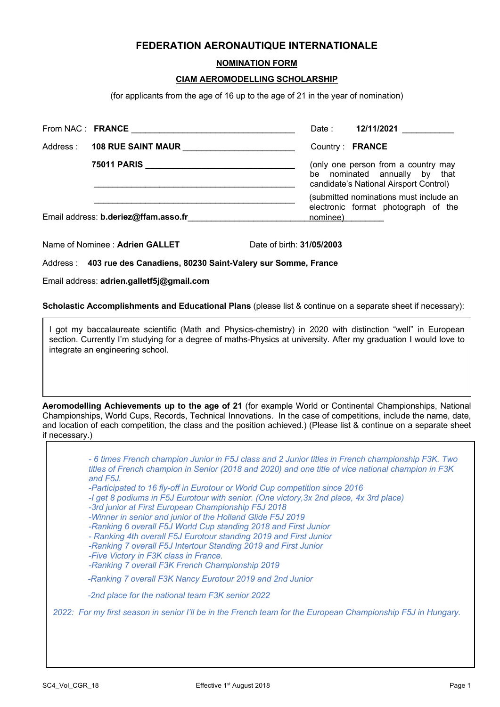## **FEDERATION AERONAUTIQUE INTERNATIONALE**

## **NOMINATION FORM**

## **CIAM AEROMODELLING SCHOLARSHIP**

(for applicants from the age of 16 up to the age of 21 in the year of nomination)

| From NAC : FRANCE |                                      | 12/11/2021<br>Date :                                                                                           |
|-------------------|--------------------------------------|----------------------------------------------------------------------------------------------------------------|
| Address :         | <b>108 RUE SAINT MAUR</b>            | Country: FRANCE                                                                                                |
|                   | <b>75011 PARIS</b>                   | (only one person from a country may<br>be nominated annually by that<br>candidate's National Airsport Control) |
|                   | Email address: b.deriez@ffam.asso.fr | (submitted nominations must include an<br>electronic format photograph of the<br>nominee)                      |

Name of Nominee: Adrien GALLET Date of birth: 31/05/2003

Address : **403 rue des Canadiens, 80230 Saint-Valery sur Somme, France** 

Email address: **adrien.galletf5j@gmail.com**

**Scholastic Accomplishments and Educational Plans** (please list & continue on a separate sheet if necessary):

I got my baccalaureate scientific (Math and Physics-chemistry) in 2020 with distinction "well" in European section. Currently I'm studying for a degree of maths-Physics at university. After my graduation I would love to integrate an engineering school.

**Aeromodelling Achievements up to the age of 21** (for example World or Continental Championships, National Championships, World Cups, Records, Technical Innovations. In the case of competitions, include the name, date, and location of each competition, the class and the position achieved.) (Please list & continue on a separate sheet if necessary.)

*- 6 times French champion Junior in F5J class and 2 Junior titles in French championship F3K. Two titles of French champion in Senior (2018 and 2020) and one title of vice national champion in F3K and F5J. -Participated to 16 fly-off in Eurotour or World Cup competition since 2016 -I get 8 podiums in F5J Eurotour with senior. (One victory,3x 2nd place, 4x 3rd place) -3rd junior at First European Championship F5J 2018 -Winner in senior and junior of the Holland Glide F5J 2019 -Ranking 6 overall F5J World Cup standing 2018 and First Junior - Ranking 4th overall F5J Eurotour standing 2019 and First Junior -Ranking 7 overall F5J Intertour Standing 2019 and First Junior*

*-Five Victory in F3K class in France.*

*-Ranking 7 overall F3K French Championship 2019*

 *-Ranking 7 overall F3K Nancy Eurotour 2019 and 2nd Junior*

 *-2nd place for the national team F3K senior 2022*

*2022: For my first season in senior I'll be in the French team for the European Championship F5J in Hungary.*